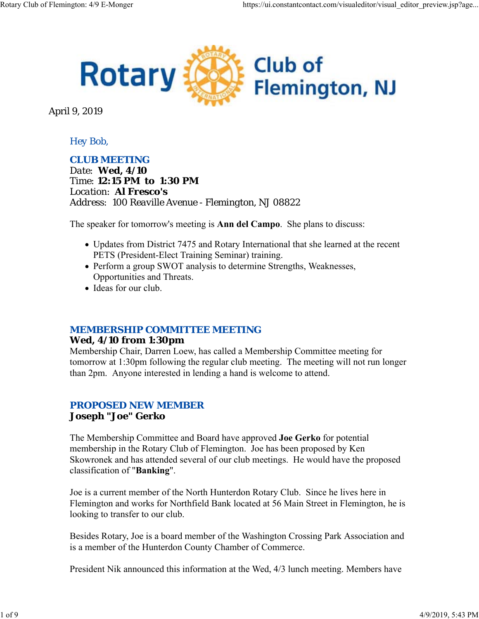

April 9, 2019

## *Hey Bob,*

*CLUB MEETING Date: Wed, 4/10 Time: 12:15 PM to 1:30 PM Location: Al Fresco's Address: 100 Reaville Avenue - Flemington, NJ 08822*

The speaker for tomorrow's meeting is **Ann del Campo**. She plans to discuss:

- Updates from District 7475 and Rotary International that she learned at the recent PETS (President-Elect Training Seminar) training.
- Perform a group SWOT analysis to determine Strengths, Weaknesses, Opportunities and Threats.
- Ideas for our club.

#### *MEMBERSHIP COMMITTEE MEETING*

#### **Wed, 4/10 from 1:30pm**

Membership Chair, Darren Loew, has called a Membership Committee meeting for tomorrow at 1:30pm following the regular club meeting. The meeting will not run longer than 2pm. Anyone interested in lending a hand is welcome to attend.

## *PROPOSED NEW MEMBER* **Joseph "Joe" Gerko**

The Membership Committee and Board have approved **Joe Gerko** for potential membership in the Rotary Club of Flemington. Joe has been proposed by Ken Skowronek and has attended several of our club meetings. He would have the proposed classification of "**Banking**".

Joe is a current member of the North Hunterdon Rotary Club. Since he lives here in Flemington and works for Northfield Bank located at 56 Main Street in Flemington, he is looking to transfer to our club.

Besides Rotary, Joe is a board member of the Washington Crossing Park Association and is a member of the Hunterdon County Chamber of Commerce.

President Nik announced this information at the Wed, 4/3 lunch meeting. Members have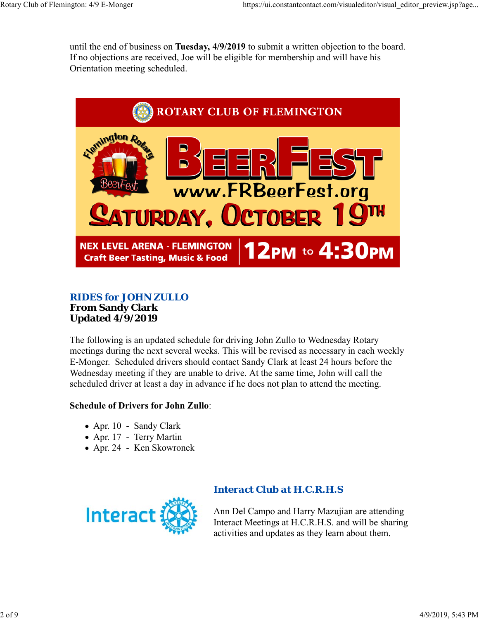until the end of business on **Tuesday, 4/9/2019** to submit a written objection to the board. If no objections are received, Joe will be eligible for membership and will have his Orientation meeting scheduled.



#### *RIDES for JOHN ZULLO* **From Sandy Clark Updated 4/9/2019**

The following is an updated schedule for driving John Zullo to Wednesday Rotary meetings during the next several weeks. This will be revised as necessary in each weekly E-Monger. Scheduled drivers should contact Sandy Clark at least 24 hours before the Wednesday meeting if they are unable to drive. At the same time, John will call the scheduled driver at least a day in advance if he does not plan to attend the meeting.

#### **Schedule of Drivers for John Zullo**:

- Apr. 10 Sandy Clark
- Apr. 17 Terry Martin
- Apr. 24 Ken Skowronek



# *Interact Club at H.C.R.H.S*

Ann Del Campo and Harry Mazujian are attending Interact Meetings at H.C.R.H.S. and will be sharing activities and updates as they learn about them.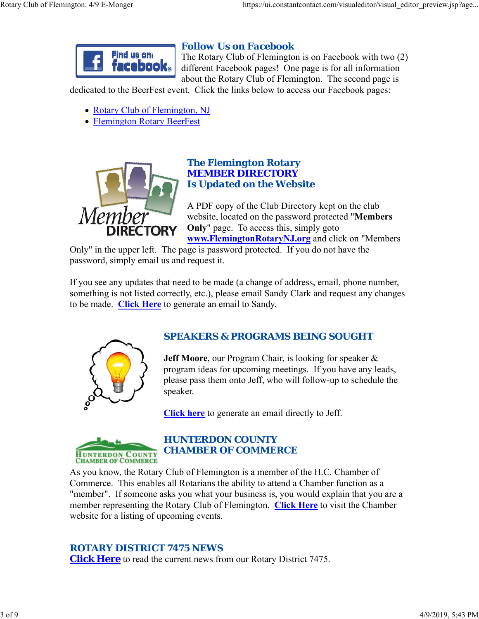

# *Follow Us on Facebook*

The Rotary Club of Flemington is on Facebook with two (2) different Facebook pages! One page is for all information about the Rotary Club of Flemington. The second page is

dedicated to the BeerFest event. Click the links below to access our Facebook pages:

- Rotary Club of Flemington, NJ
- Flemington Rotary BeerFest



#### *The Flemington Rotary MEMBER DIRECTORY Is Updated on the Website*

A PDF copy of the Club Directory kept on the club website, located on the password protected "**Members Only**" page. To access this, simply goto **www.FlemingtonRotaryNJ.org** and click on "Members

Only" in the upper left. The page is password protected. If you do not have the password, simply email us and request it.

If you see any updates that need to be made (a change of address, email, phone number, something is not listed correctly, etc.), please email Sandy Clark and request any changes to be made. **Click Here** to generate an email to Sandy.



# *SPEAKERS & PROGRAMS BEING SOUGHT*

**Jeff Moore**, our Program Chair, is looking for speaker & program ideas for upcoming meetings. If you have any leads, please pass them onto Jeff, who will follow-up to schedule the speaker.

**Click here** to generate an email directly to Jeff.



# *HUNTERDON COUNTY CHAMBER OF COMMERCE*

As you know, the Rotary Club of Flemington is a member of the H.C. Chamber of Commerce. This enables all Rotarians the ability to attend a Chamber function as a "member". If someone asks you what your business is, you would explain that you are a member representing the Rotary Club of Flemington. **Click Here** to visit the Chamber website for a listing of upcoming events.

# *ROTARY DISTRICT 7475 NEWS*

**Click Here** to read the current news from our Rotary District 7475.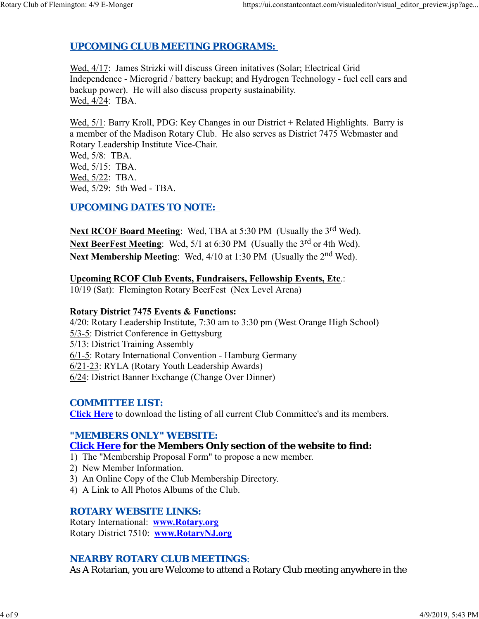# *UPCOMING CLUB MEETING PROGRAMS:*

Wed, 4/17: James Strizki will discuss Green initatives (Solar; Electrical Grid Independence - Microgrid / battery backup; and Hydrogen Technology - fuel cell cars and backup power). He will also discuss property sustainability. Wed, 4/24: TBA.

Wed,  $5/1$ : Barry Kroll, PDG: Key Changes in our District + Related Highlights. Barry is a member of the Madison Rotary Club. He also serves as District 7475 Webmaster and Rotary Leadership Institute Vice-Chair.

Wed, 5/8: TBA. Wed, 5/15: TBA. Wed, 5/22: TBA. Wed, 5/29: 5th Wed - TBA.

## *UPCOMING DATES TO NOTE:*

Next RCOF Board Meeting: Wed, TBA at 5:30 PM (Usually the 3<sup>rd</sup> Wed). Next BeerFest Meeting: Wed, 5/1 at 6:30 PM (Usually the 3<sup>rd</sup> or 4th Wed). **Next Membership Meeting:** Wed, 4/10 at 1:30 PM (Usually the 2<sup>nd</sup> Wed).

**Upcoming RCOF Club Events, Fundraisers, Fellowship Events, Etc**.: 10/19 (Sat): Flemington Rotary BeerFest (Nex Level Arena)

# **Rotary District 7475 Events & Functions:**

4/20: Rotary Leadership Institute, 7:30 am to 3:30 pm (West Orange High School) 5/3-5: District Conference in Gettysburg 5/13: District Training Assembly 6/1-5: Rotary International Convention - Hamburg Germany 6/21-23: RYLA (Rotary Youth Leadership Awards) 6/24: District Banner Exchange (Change Over Dinner)

## *COMMITTEE LIST:*

**Click Here** to download the listing of all current Club Committee's and its members.

## *"MEMBERS ONLY" WEBSITE:*

# **Click Here for the Members Only section of the website to find:**

- 1) The "Membership Proposal Form" to propose a new member.
- 2) New Member Information.
- 3) An Online Copy of the Club Membership Directory.
- 4) A Link to All Photos Albums of the Club.

#### *ROTARY WEBSITE LINKS:*

Rotary International: **www.Rotary.org** Rotary District 7510: **www.RotaryNJ.org**

## *NEARBY ROTARY CLUB MEETINGS:*

As A Rotarian, you are Welcome to attend a Rotary Club meeting anywhere in the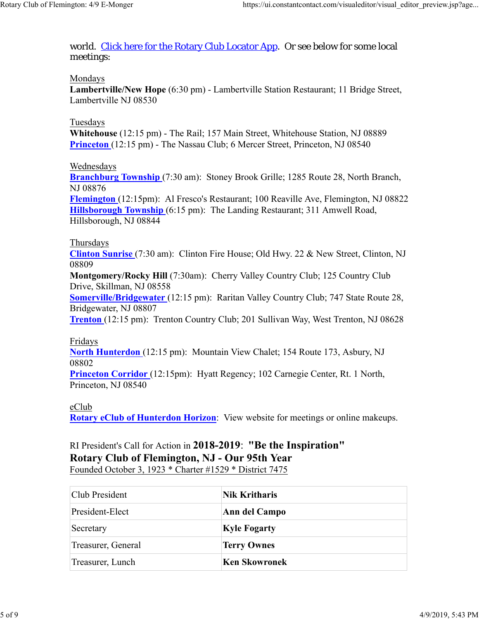world. Click here for the Rotary Club Locator App. Or see below for some local meetings:

#### Mondays

**Lambertville/New Hope** (6:30 pm) - Lambertville Station Restaurant; 11 Bridge Street, Lambertville NJ 08530

#### Tuesdays

**Whitehouse** (12:15 pm) - The Rail; 157 Main Street, Whitehouse Station, NJ 08889 **Princeton** (12:15 pm) - The Nassau Club; 6 Mercer Street, Princeton, NJ 08540

#### Wednesdays

**Branchburg Township** (7:30 am): Stoney Brook Grille; 1285 Route 28, North Branch, NJ 08876

**Flemington** (12:15pm): Al Fresco's Restaurant; 100 Reaville Ave, Flemington, NJ 08822 **Hillsborough Township** (6:15 pm): The Landing Restaurant; 311 Amwell Road, Hillsborough, NJ 08844

#### Thursdays

**Clinton Sunrise** (7:30 am): Clinton Fire House; Old Hwy. 22 & New Street, Clinton, NJ 08809

**Montgomery/Rocky Hill** (7:30am): Cherry Valley Country Club; 125 Country Club Drive, Skillman, NJ 08558

**Somerville/Bridgewater** (12:15 pm): Raritan Valley Country Club; 747 State Route 28, Bridgewater, NJ 08807

**Trenton** (12:15 pm): Trenton Country Club; 201 Sullivan Way, West Trenton, NJ 08628

#### Fridays

**North Hunterdon** (12:15 pm): Mountain View Chalet; 154 Route 173, Asbury, NJ 08802

**Princeton Corridor** (12:15pm): Hyatt Regency; 102 Carnegie Center, Rt. 1 North, Princeton, NJ 08540

#### eClub

**Rotary eClub of Hunterdon Horizon**: View website for meetings or online makeups.

# RI President's Call for Action in **2018-2019**: **"Be the Inspiration" Rotary Club of Flemington, NJ - Our 95th Year**

Founded October 3, 1923 \* Charter #1529 \* District 7475

| Club President     | <b>Nik Kritharis</b> |  |
|--------------------|----------------------|--|
| President-Elect    | Ann del Campo        |  |
| Secretary          | <b>Kyle Fogarty</b>  |  |
| Treasurer, General | <b>Terry Ownes</b>   |  |
| Treasurer, Lunch   | <b>Ken Skowronek</b> |  |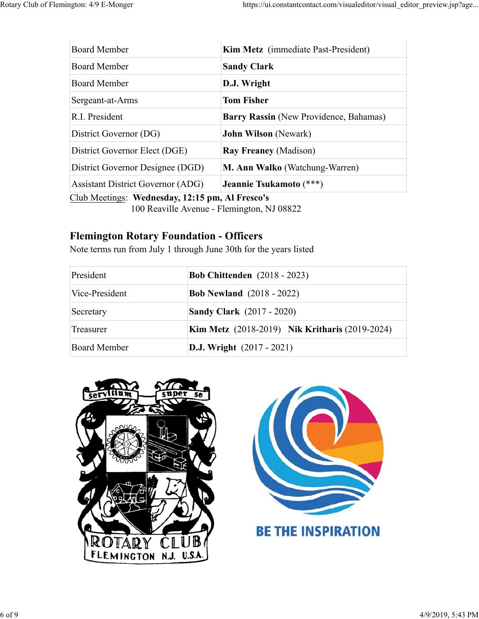| <b>Board Member</b>                      | <b>Kim Metz</b> (immediate Past-President)    |
|------------------------------------------|-----------------------------------------------|
| <b>Board Member</b>                      | <b>Sandy Clark</b>                            |
| <b>Board Member</b>                      | D.J. Wright                                   |
| Sergeant-at-Arms                         | <b>Tom Fisher</b>                             |
| R.I. President                           | <b>Barry Rassin</b> (New Providence, Bahamas) |
| District Governor (DG)                   | <b>John Wilson</b> (Newark)                   |
| District Governor Elect (DGE)            | <b>Ray Freaney (Madison)</b>                  |
| District Governor Designee (DGD)         | <b>M. Ann Walko</b> (Watchung-Warren)         |
| <b>Assistant District Governor (ADG)</b> | Jeannie Tsukamoto (***)                       |

Club Meetings: **Wednesday, 12:15 pm, Al Fresco's**

100 Reaville Avenue - Flemington, NJ 08822

# **Flemington Rotary Foundation - Officers**

Note terms run from July 1 through June 30th for the years listed

| President           | <b>Bob Chittenden</b> (2018 - 2023)                   |
|---------------------|-------------------------------------------------------|
| Vice-President      | <b>Bob Newland</b> (2018 - 2022)                      |
| Secretary           | <b>Sandy Clark</b> (2017 - 2020)                      |
| Treasurer           | <b>Kim Metz</b> (2018-2019) Nik Kritharis (2019-2024) |
| <b>Board Member</b> | <b>D.J.</b> Wright $(2017 - 2021)$                    |



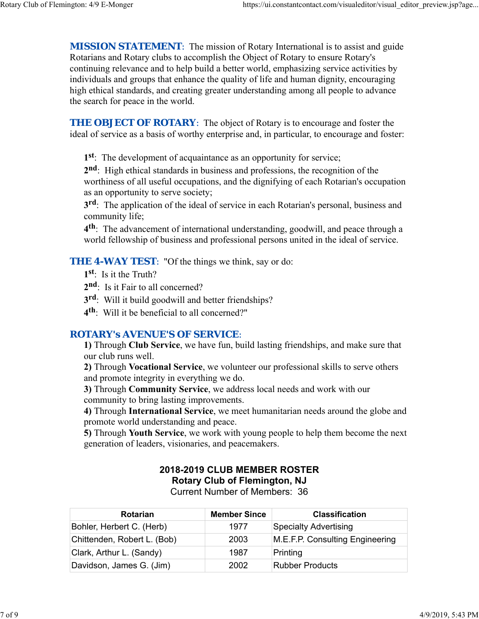**MISSION STATEMENT:** The mission of Rotary International is to assist and guide Rotarians and Rotary clubs to accomplish the Object of Rotary to ensure Rotary's continuing relevance and to help build a better world, emphasizing service activities by individuals and groups that enhance the quality of life and human dignity, encouraging high ethical standards, and creating greater understanding among all people to advance the search for peace in the world.

**THE OBJECT OF ROTARY:** The object of Rotary is to encourage and foster the ideal of service as a basis of worthy enterprise and, in particular, to encourage and foster:

**1st**: The development of acquaintance as an opportunity for service;

**2nd**: High ethical standards in business and professions, the recognition of the worthiness of all useful occupations, and the dignifying of each Rotarian's occupation as an opportunity to serve society;

**3rd**: The application of the ideal of service in each Rotarian's personal, business and community life;

**4th**: The advancement of international understanding, goodwill, and peace through a world fellowship of business and professional persons united in the ideal of service.

**THE 4-WAY TEST:** "Of the things we think, say or do:

- **1st**: Is it the Truth?
- 2<sup>nd</sup>: Is it Fair to all concerned?
- **3rd**: Will it build goodwill and better friendships?
- **4th**: Will it be beneficial to all concerned?"

## *ROTARY's AVENUE'S OF SERVICE*:

**1)** Through **Club Service**, we have fun, build lasting friendships, and make sure that our club runs well.

**2)** Through **Vocational Service**, we volunteer our professional skills to serve others and promote integrity in everything we do.

**3)** Through **Community Service**, we address local needs and work with our community to bring lasting improvements.

**4)** Through **International Service**, we meet humanitarian needs around the globe and promote world understanding and peace.

**5)** Through **Youth Service**, we work with young people to help them become the next generation of leaders, visionaries, and peacemakers.

# **2018-2019 CLUB MEMBER ROSTER Rotary Club of Flemington, NJ**

Current Number of Members: 36

| Rotarian                    | <b>Member Since</b> | <b>Classification</b>           |
|-----------------------------|---------------------|---------------------------------|
| Bohler, Herbert C. (Herb)   | 1977                | Specialty Advertising           |
| Chittenden, Robert L. (Bob) | 2003                | M.E.F.P. Consulting Engineering |
| Clark, Arthur L. (Sandy)    | 1987                | Printing                        |
| Davidson, James G. (Jim)    | 2002                | Rubber Products                 |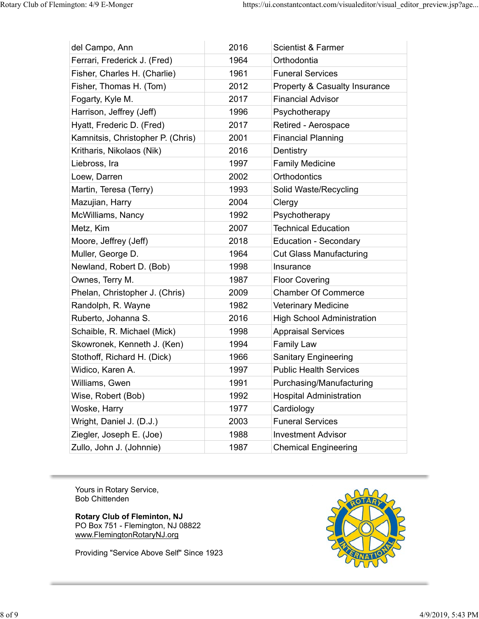| del Campo, Ann                    | 2016 | <b>Scientist &amp; Farmer</b>            |
|-----------------------------------|------|------------------------------------------|
| Ferrari, Frederick J. (Fred)      | 1964 | Orthodontia                              |
| Fisher, Charles H. (Charlie)      | 1961 | <b>Funeral Services</b>                  |
| Fisher, Thomas H. (Tom)           | 2012 | <b>Property &amp; Casualty Insurance</b> |
| Fogarty, Kyle M.                  | 2017 | <b>Financial Advisor</b>                 |
| Harrison, Jeffrey (Jeff)          | 1996 | Psychotherapy                            |
| Hyatt, Frederic D. (Fred)         | 2017 | Retired - Aerospace                      |
| Kamnitsis, Christopher P. (Chris) | 2001 | <b>Financial Planning</b>                |
| Kritharis, Nikolaos (Nik)         | 2016 | Dentistry                                |
| Liebross, Ira                     | 1997 | <b>Family Medicine</b>                   |
| Loew, Darren                      | 2002 | <b>Orthodontics</b>                      |
| Martin, Teresa (Terry)            | 1993 | Solid Waste/Recycling                    |
| Mazujian, Harry                   | 2004 | Clergy                                   |
| McWilliams, Nancy                 | 1992 | Psychotherapy                            |
| Metz, Kim                         | 2007 | <b>Technical Education</b>               |
| Moore, Jeffrey (Jeff)             | 2018 | <b>Education - Secondary</b>             |
| Muller, George D.                 | 1964 | <b>Cut Glass Manufacturing</b>           |
| Newland, Robert D. (Bob)          | 1998 | Insurance                                |
| Ownes, Terry M.                   | 1987 | <b>Floor Covering</b>                    |
| Phelan, Christopher J. (Chris)    | 2009 | <b>Chamber Of Commerce</b>               |
| Randolph, R. Wayne                | 1982 | <b>Veterinary Medicine</b>               |
| Ruberto, Johanna S.               | 2016 | <b>High School Administration</b>        |
| Schaible, R. Michael (Mick)       | 1998 | <b>Appraisal Services</b>                |
| Skowronek, Kenneth J. (Ken)       | 1994 | <b>Family Law</b>                        |
| Stothoff, Richard H. (Dick)       | 1966 | <b>Sanitary Engineering</b>              |
| Widico, Karen A.                  | 1997 | <b>Public Health Services</b>            |
| Williams, Gwen                    | 1991 | Purchasing/Manufacturing                 |
| Wise, Robert (Bob)                | 1992 | <b>Hospital Administration</b>           |
| Woske, Harry                      | 1977 | Cardiology                               |
| Wright, Daniel J. (D.J.)          | 2003 | <b>Funeral Services</b>                  |
| Ziegler, Joseph E. (Joe)          | 1988 | <b>Investment Advisor</b>                |
| Zullo, John J. (Johnnie)          | 1987 | <b>Chemical Engineering</b>              |

Yours in Rotary Service, Bob Chittenden

**Rotary Club of Fleminton, NJ** PO Box 751 - Flemington, NJ 08822 www.FlemingtonRotaryNJ.org

Providing "Service Above Self" Since 1923